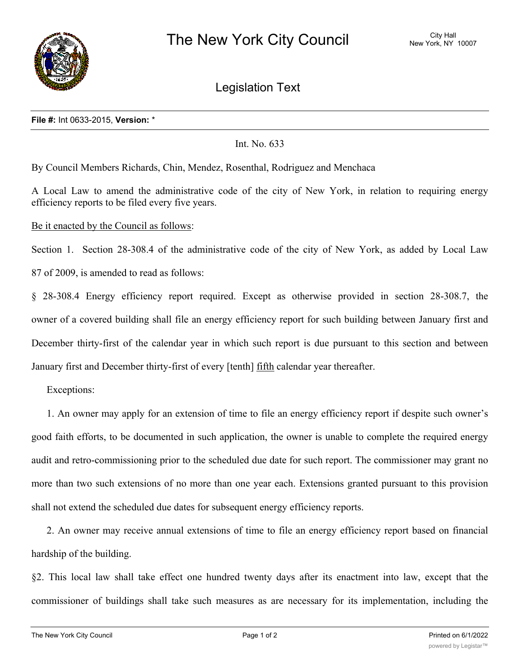

Legislation Text

## **File #:** Int 0633-2015, **Version:** \*

Int. No. 633

By Council Members Richards, Chin, Mendez, Rosenthal, Rodriguez and Menchaca

A Local Law to amend the administrative code of the city of New York, in relation to requiring energy efficiency reports to be filed every five years.

Be it enacted by the Council as follows:

Section 1. Section 28-308.4 of the administrative code of the city of New York, as added by Local Law 87 of 2009, is amended to read as follows:

§ 28-308.4 Energy efficiency report required. Except as otherwise provided in section 28-308.7, the owner of a covered building shall file an energy efficiency report for such building between January first and December thirty-first of the calendar year in which such report is due pursuant to this section and between January first and December thirty-first of every [tenth] fifth calendar year thereafter.

Exceptions:

1. An owner may apply for an extension of time to file an energy efficiency report if despite such owner's good faith efforts, to be documented in such application, the owner is unable to complete the required energy audit and retro-commissioning prior to the scheduled due date for such report. The commissioner may grant no more than two such extensions of no more than one year each. Extensions granted pursuant to this provision shall not extend the scheduled due dates for subsequent energy efficiency reports.

2. An owner may receive annual extensions of time to file an energy efficiency report based on financial hardship of the building.

§2. This local law shall take effect one hundred twenty days after its enactment into law, except that the commissioner of buildings shall take such measures as are necessary for its implementation, including the